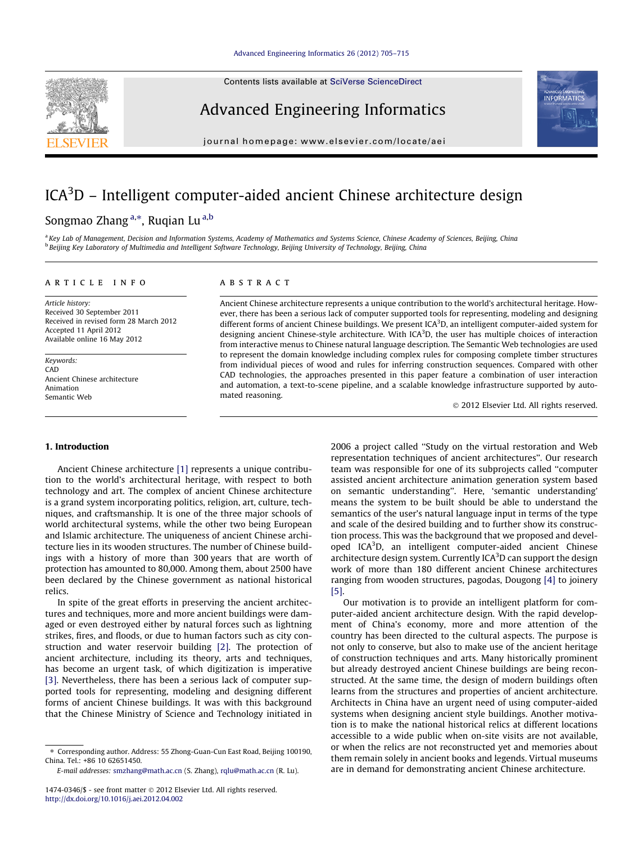Contents lists available at [SciVerse ScienceDirect](http://www.sciencedirect.com/science/journal/14740346)

### Advanced Engineering Informatics

journal homepage: [www.elsevier.com/locate/aei](http://www.elsevier.com/locate/aei)

# ICA<sup>3</sup>D – Intelligent computer-aided ancient Chinese architecture design

### Songmao Zhang <sup>a,</sup>\*, Ruqian Lu <sup>a,b</sup>

a Key Lab of Management, Decision and Information Systems, Academy of Mathematics and Systems Science, Chinese Academy of Sciences, Beijing, China **b Beijing Key Laboratory of Multimedia and Intelligent Software Technology, Beijing University of Technology, Beijing, China** 

#### article info

Article history: Received 30 September 2011 Received in revised form 28 March 2012 Accepted 11 April 2012 Available online 16 May 2012

Keywords: CAD Ancient Chinese architecture Animation Semantic Web

#### **ABSTRACT**

Ancient Chinese architecture represents a unique contribution to the world's architectural heritage. However, there has been a serious lack of computer supported tools for representing, modeling and designing different forms of ancient Chinese buildings. We present ICA<sup>3</sup>D, an intelligent computer-aided system for designing ancient Chinese-style architecture. With  $ICA<sup>3</sup>D$ , the user has multiple choices of interaction from interactive menus to Chinese natural language description. The Semantic Web technologies are used to represent the domain knowledge including complex rules for composing complete timber structures from individual pieces of wood and rules for inferring construction sequences. Compared with other CAD technologies, the approaches presented in this paper feature a combination of user interaction and automation, a text-to-scene pipeline, and a scalable knowledge infrastructure supported by automated reasoning.

- 2012 Elsevier Ltd. All rights reserved.

#### 1. Introduction

Ancient Chinese architecture [\[1\]](#page--1-0) represents a unique contribution to the world's architectural heritage, with respect to both technology and art. The complex of ancient Chinese architecture is a grand system incorporating politics, religion, art, culture, techniques, and craftsmanship. It is one of the three major schools of world architectural systems, while the other two being European and Islamic architecture. The uniqueness of ancient Chinese architecture lies in its wooden structures. The number of Chinese buildings with a history of more than 300 years that are worth of protection has amounted to 80,000. Among them, about 2500 have been declared by the Chinese government as national historical relics.

In spite of the great efforts in preserving the ancient architectures and techniques, more and more ancient buildings were damaged or even destroyed either by natural forces such as lightning strikes, fires, and floods, or due to human factors such as city construction and water reservoir building [\[2\]](#page--1-0). The protection of ancient architecture, including its theory, arts and techniques, has become an urgent task, of which digitization is imperative [\[3\]](#page--1-0). Nevertheless, there has been a serious lack of computer supported tools for representing, modeling and designing different forms of ancient Chinese buildings. It was with this background that the Chinese Ministry of Science and Technology initiated in

2006 a project called ''Study on the virtual restoration and Web representation techniques of ancient architectures''. Our research team was responsible for one of its subprojects called ''computer assisted ancient architecture animation generation system based on semantic understanding''. Here, 'semantic understanding' means the system to be built should be able to understand the semantics of the user's natural language input in terms of the type and scale of the desired building and to further show its construction process. This was the background that we proposed and developed ICA<sup>3</sup>D, an intelligent computer-aided ancient Chinese architecture design system. Currently ICA<sup>3</sup>D can support the design work of more than 180 different ancient Chinese architectures ranging from wooden structures, pagodas, Dougong [\[4\]](#page--1-0) to joinery [\[5\]](#page--1-0).

Our motivation is to provide an intelligent platform for computer-aided ancient architecture design. With the rapid development of China's economy, more and more attention of the country has been directed to the cultural aspects. The purpose is not only to conserve, but also to make use of the ancient heritage of construction techniques and arts. Many historically prominent but already destroyed ancient Chinese buildings are being reconstructed. At the same time, the design of modern buildings often learns from the structures and properties of ancient architecture. Architects in China have an urgent need of using computer-aided systems when designing ancient style buildings. Another motivation is to make the national historical relics at different locations accessible to a wide public when on-site visits are not available, or when the relics are not reconstructed yet and memories about them remain solely in ancient books and legends. Virtual museums are in demand for demonstrating ancient Chinese architecture.





<sup>⇑</sup> Corresponding author. Address: 55 Zhong-Guan-Cun East Road, Beijing 100190, China. Tel.: +86 10 62651450.

E-mail addresses: [smzhang@math.ac.cn](mailto:smzhang@math.ac.cn) (S. Zhang), [rqlu@math.ac.cn](mailto:rqlu@math.ac.cn) (R. Lu).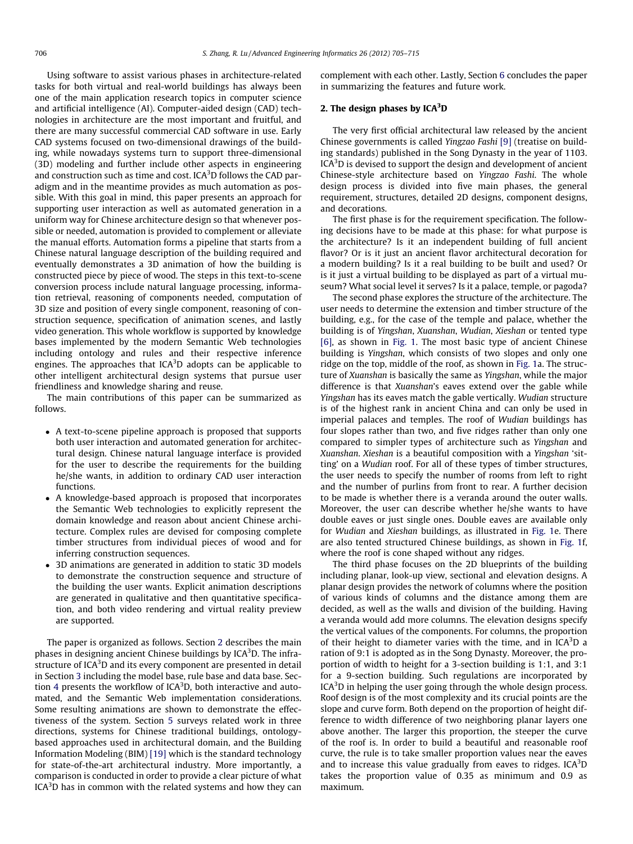Using software to assist various phases in architecture-related tasks for both virtual and real-world buildings has always been one of the main application research topics in computer science and artificial intelligence (AI). Computer-aided design (CAD) technologies in architecture are the most important and fruitful, and there are many successful commercial CAD software in use. Early CAD systems focused on two-dimensional drawings of the building, while nowadays systems turn to support three-dimensional (3D) modeling and further include other aspects in engineering and construction such as time and cost. ICA $^3$ D follows the CAD paradigm and in the meantime provides as much automation as possible. With this goal in mind, this paper presents an approach for supporting user interaction as well as automated generation in a uniform way for Chinese architecture design so that whenever possible or needed, automation is provided to complement or alleviate the manual efforts. Automation forms a pipeline that starts from a Chinese natural language description of the building required and eventually demonstrates a 3D animation of how the building is constructed piece by piece of wood. The steps in this text-to-scene conversion process include natural language processing, information retrieval, reasoning of components needed, computation of 3D size and position of every single component, reasoning of construction sequence, specification of animation scenes, and lastly video generation. This whole workflow is supported by knowledge bases implemented by the modern Semantic Web technologies including ontology and rules and their respective inference engines. The approaches that ICA<sup>3</sup>D adopts can be applicable to other intelligent architectural design systems that pursue user friendliness and knowledge sharing and reuse.

The main contributions of this paper can be summarized as follows.

- A text-to-scene pipeline approach is proposed that supports both user interaction and automated generation for architectural design. Chinese natural language interface is provided for the user to describe the requirements for the building he/she wants, in addition to ordinary CAD user interaction functions.
- A knowledge-based approach is proposed that incorporates the Semantic Web technologies to explicitly represent the domain knowledge and reason about ancient Chinese architecture. Complex rules are devised for composing complete timber structures from individual pieces of wood and for inferring construction sequences.
- 3D animations are generated in addition to static 3D models to demonstrate the construction sequence and structure of the building the user wants. Explicit animation descriptions are generated in qualitative and then quantitative specification, and both video rendering and virtual reality preview are supported.

The paper is organized as follows. Section 2 describes the main phases in designing ancient Chinese buildings by ICA $^3$ D. The infrastructure of ICA<sup>3</sup>D and its every component are presented in detail in Section [3](#page--1-0) including the model base, rule base and data base. Sec-tion [4](#page--1-0) presents the workflow of ICA<sup>3</sup>D, both interactive and automated, and the Semantic Web implementation considerations. Some resulting animations are shown to demonstrate the effectiveness of the system. Section [5](#page--1-0) surveys related work in three directions, systems for Chinese traditional buildings, ontologybased approaches used in architectural domain, and the Building Information Modeling (BIM) [\[19\]](#page--1-0) which is the standard technology for state-of-the-art architectural industry. More importantly, a comparison is conducted in order to provide a clear picture of what ICA $3$ D has in common with the related systems and how they can

complement with each other. Lastly, Section [6](#page--1-0) concludes the paper in summarizing the features and future work.

#### 2. The design phases by  $ICA<sup>3</sup>D$

The very first official architectural law released by the ancient Chinese governments is called Yingzao Fashi [\[9\]](#page--1-0) (treatise on building standards) published in the Song Dynasty in the year of 1103. ICA<sup>3</sup>D is devised to support the design and development of ancient Chinese-style architecture based on Yingzao Fashi. The whole design process is divided into five main phases, the general requirement, structures, detailed 2D designs, component designs, and decorations.

The first phase is for the requirement specification. The following decisions have to be made at this phase: for what purpose is the architecture? Is it an independent building of full ancient flavor? Or is it just an ancient flavor architectural decoration for a modern building? Is it a real building to be built and used? Or is it just a virtual building to be displayed as part of a virtual museum? What social level it serves? Is it a palace, temple, or pagoda?

The second phase explores the structure of the architecture. The user needs to determine the extension and timber structure of the building, e.g., for the case of the temple and palace, whether the building is of Yingshan, Xuanshan, Wudian, Xieshan or tented type [\[6\]](#page--1-0), as shown in [Fig. 1](#page--1-0). The most basic type of ancient Chinese building is Yingshan, which consists of two slopes and only one ridge on the top, middle of the roof, as shown in [Fig. 1a](#page--1-0). The structure of Xuanshan is basically the same as Yingshan, while the major difference is that Xuanshan's eaves extend over the gable while Yingshan has its eaves match the gable vertically. Wudian structure is of the highest rank in ancient China and can only be used in imperial palaces and temples. The roof of Wudian buildings has four slopes rather than two, and five ridges rather than only one compared to simpler types of architecture such as Yingshan and Xuanshan. Xieshan is a beautiful composition with a Yingshan 'sitting' on a Wudian roof. For all of these types of timber structures, the user needs to specify the number of rooms from left to right and the number of purlins from front to rear. A further decision to be made is whether there is a veranda around the outer walls. Moreover, the user can describe whether he/she wants to have double eaves or just single ones. Double eaves are available only for Wudian and Xieshan buildings, as illustrated in [Fig. 1e](#page--1-0). There are also tented structured Chinese buildings, as shown in [Fig. 1](#page--1-0)f, where the roof is cone shaped without any ridges.

The third phase focuses on the 2D blueprints of the building including planar, look-up view, sectional and elevation designs. A planar design provides the network of columns where the position of various kinds of columns and the distance among them are decided, as well as the walls and division of the building. Having a veranda would add more columns. The elevation designs specify the vertical values of the components. For columns, the proportion of their height to diameter varies with the time, and in  $ICA<sup>3</sup>D$  a ration of 9:1 is adopted as in the Song Dynasty. Moreover, the proportion of width to height for a 3-section building is 1:1, and 3:1 for a 9-section building. Such regulations are incorporated by ICA<sup>3</sup>D in helping the user going through the whole design process. Roof design is of the most complexity and its crucial points are the slope and curve form. Both depend on the proportion of height difference to width difference of two neighboring planar layers one above another. The larger this proportion, the steeper the curve of the roof is. In order to build a beautiful and reasonable roof curve, the rule is to take smaller proportion values near the eaves and to increase this value gradually from eaves to ridges.  $ICA<sup>3</sup>D$ takes the proportion value of 0.35 as minimum and 0.9 as maximum.